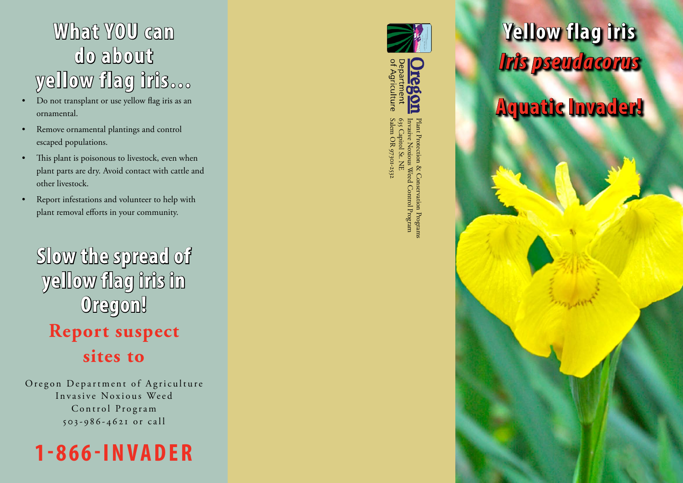## **What YOU can do about yellow flag iris…**

- Do not transplant or use yellow flag iris as an ornamental.
- Remove ornamental plantings and control escaped populations.
- This plant is poisonous to livestock, even when plant parts are dry. Avoid contact with cattle and other livestock.
- Report infestations and volunteer to help with plant removal efforts in your community.

**Slow the spread of yellow flag iris in Oregon! Report suspect sites to**

Oregon Department of Agriculture Invasive Noxious Weed Control Program 5 0 3 - 9 8 6 - 4 6 2 1 o r c a l l







Invasive Noxious Weed Control Program Plant Protection & Conservation Programss Weed nservation Programs<br>1 Control Program

## **Yellow flag iris** *Iris pseudacorus*

**Aquatic Invader!**